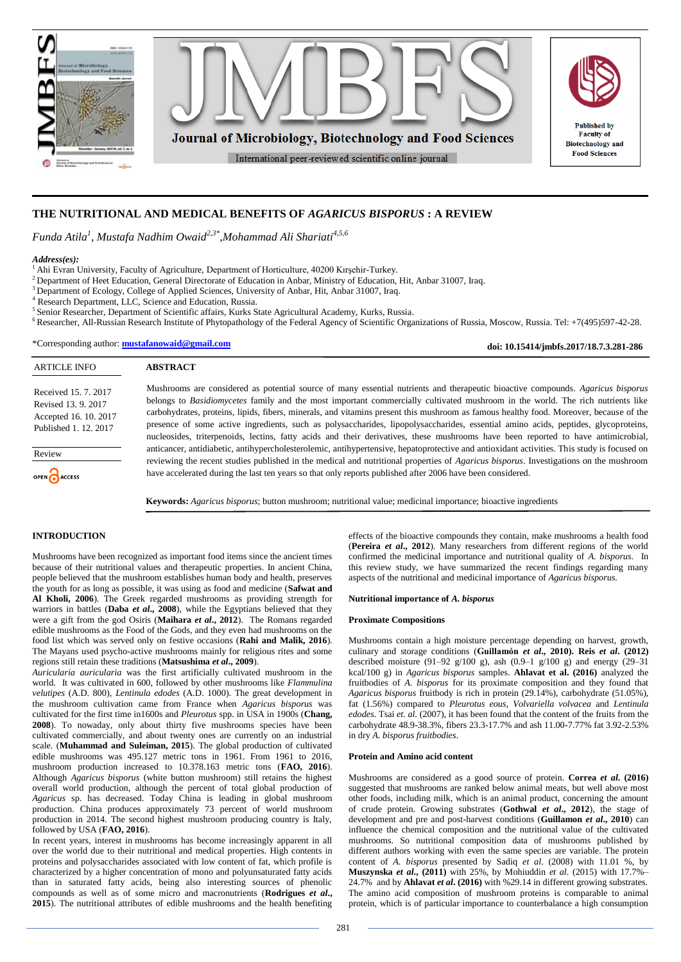

# **THE NUTRITIONAL AND MEDICAL BENEFITS OF** *AGARICUS BISPORUS* **: A REVIEW**

*Funda Atila<sup>1</sup> , Mustafa Nadhim Owaid2,3\* ,Mohammad Ali Shariati4,5,6*

#### *Address(es):*

<sup>1</sup> Ahi Evran University, Faculty of Agriculture, Department of Horticulture, 40200 Kırşehir-Turkey.

<sup>2</sup> Department of Heet Education, General Directorate of Education in Anbar, Ministry of Education, Hit, Anbar 31007, Iraq.

<sup>3</sup> Department of Ecology, College of Applied Sciences, University of Anbar, Hit, Anbar 31007, Iraq.

Research Department, LLC, Science and Education, Russia.

**ABSTRACT**

5 Senior Researcher, Department of Scientific affairs, Kurks State Agricultural Academy, Kurks, Russia. <sup>6</sup>Researcher, All-Russian Research Institute of Phytopathology of the Federal Agency of Scientific Organizations of Russia, Moscow, Russia. Tel: +7(495)597-42-28.

\*Corresponding author: **[mustafanowaid@gmail.com](mailto:mustafanowaid@gmail.com)**

**doi: 10.15414/jmbfs.2017/18.7.3.281-286**

# ARTICLE INFO

Received 15. 7. 2017 Revised 13. 9. 2017 Accepted 16. 10. 2017 Published 1. 12. 2017

Review OPEN ACCESS Mushrooms are considered as potential source of many essential nutrients and therapeutic bioactive compounds. *Agaricus bisporus* belongs to *Basidiomycetes* family and the most important commercially cultivated mushroom in the world. The rich nutrients like carbohydrates, proteins, lipids, fibers, minerals, and vitamins present this mushroom as famous healthy food. Moreover, because of the presence of some active ingredients, such as polysaccharides, lipopolysaccharides, essential amino acids, peptides, glycoproteins, nucleosides, triterpenoids, lectins, fatty acids and their derivatives, these mushrooms have been reported to have antimicrobial, anticancer, antidiabetic, antihypercholesterolemic, antihypertensive, hepatoprotective and antioxidant activities. This study is focused on reviewing the recent studies published in the medical and nutritional properties of *Agaricus bisporus*. Investigations on the mushroom have accelerated during the last ten years so that only reports published after 2006 have been considered.

**Keywords:** *Agaricus bisporus*; button mushroom; nutritional value; medicinal importance; bioactive ingredients

## **INTRODUCTION**

Mushrooms have been recognized as important food items since the ancient times because of their nutritional values and therapeutic properties. In ancient China, people believed that the mushroom establishes human body and health, preserves the youth for as long as possible, it was using as food and medicine (**Safwat and Al Kholi, 2006**). The Greek regarded mushrooms as providing strength for warriors in battles (**Daba** *et al***., 2008**), while the Egyptians believed that they were a gift from the god Osiris (**Maihara** *et al***., 2012**). The Romans regarded edible mushrooms as the Food of the Gods, and they even had mushrooms on the food list which was served only on festive occasions (**Rahi and Malik, 2016**). The Mayans used psycho-active mushrooms mainly for religious rites and some regions still retain these traditions (**Matsushima** *et al***., 2009**).

*Auricularia auricularia* was the first artificially cultivated mushroom in the world*.* It was cultivated in 600, followed by other mushrooms like *Flammulina velutipes* (A.D. 800), *Lentinula edodes* (A.D. 1000). The great development in the mushroom cultivation came from France when *Agaricus bisporus* was cultivated for the first time in1600s and *Pleurotus* spp. in USA in 1900s (**Chang, 2008**). To nowaday, only about thirty five mushrooms species have been cultivated commercially, and about twenty ones are currently on an industrial scale. (**Muhammad and Suleiman, 2015**). The global production of cultivated edible mushrooms was 495.127 metric tons in 1961. From 1961 to 2016, mushroom production increased to 10.378.163 metric tons (**FAO, 2016**). Although *Agaricus bisporus* (white button mushroom) still retains the highest overall world production, although the percent of total global production of *Agaricus* sp. has decreased. Today China is leading in global mushroom production. China produces approximately 73 percent of world mushroom production in 2014. The second highest mushroom producing country is Italy, followed by USA (**FAO, 2016**).

In recent years, interest in mushrooms has become increasingly apparent in all over the world due to their nutritional and medical properties. High contents in proteins and polysaccharides associated with low content of fat, which profile is characterized by a higher concentration of mono and polyunsaturated fatty acids than in saturated fatty acids, being also interesting sources of phenolic compounds as well as of some micro and macronutrients (**Rodrigues** *et al***., 2015**). The nutritional attributes of edible mushrooms and the health benefiting effects of the bioactive compounds they contain, make mushrooms a health food (**Pereira** *et al***., 2012**). Many researchers from different regions of the world confirmed the medicinal importance and nutritional quality of *A. bisporus.* In this review study, we have summarized the recent findings regarding many aspects of the nutritional and medicinal importance of *Agaricus bisporus.*

## **Nutritional importance of** *A. bisporus*

## **Proximate Compositions**

Mushrooms contain a high moisture percentage depending on harvest, growth, culinary and storage conditions (**Guillamón** *et al***., 2010). Reis** *et al***. (2012)**  described moisture (91–92 g/100 g), ash (0.9–1 g/100 g) and energy (29–31 kcal/100 g) in *Agaricus bisporus* samples. **Ahlavat et al. (2016)** analyzed the fruitbodies of *A. bisporus* for its proximate composition and they found that *Agaricus bisporus* fruitbody is rich in protein (29.14%), carbohydrate (51.05%), fat (1.56%) compared to *Pleurotus eous, Volvariella volvacea* and *Lentinula edodes*. Tsai *et. al.* (2007), it has been found that the content of the fruits from the carbohydrate 48.9-38.3%, fibers 23.3-17.7% and ash 11.00-7.77% fat 3.92-2.53% in dry *A. bisporus fruitbodies*.

## **Protein and Amino acid content**

Mushrooms are considered as a good source of protein. **Correa** *et al***. (2016)** suggested that mushrooms are ranked below animal meats, but well above most other foods, including milk, which is an animal product, concerning the amount of crude protein. Growing substrates (**Gothwal** *et al***., 2012**), the stage of development and pre and post-harvest conditions (**Guillamon** *et al***., 2010**) can influence the chemical composition and the nutritional value of the cultivated mushrooms. So nutritional composition data of mushrooms published by different authors working with even the same species are variable. The protein content of *A. bisporus* presented by Sadiq *et al*. (2008) with 11.01 %, by **Muszynska** *et al***., (2011)** with 25%, by Mohiuddin *et al*. (2015) with 17.7%– 24.7% and by **Ahlavat** *et al***. (2016)** with %29.14 in different growing substrates. The amino acid composition of mushroom proteins is comparable to animal protein, which is of particular importance to counterbalance a high consumption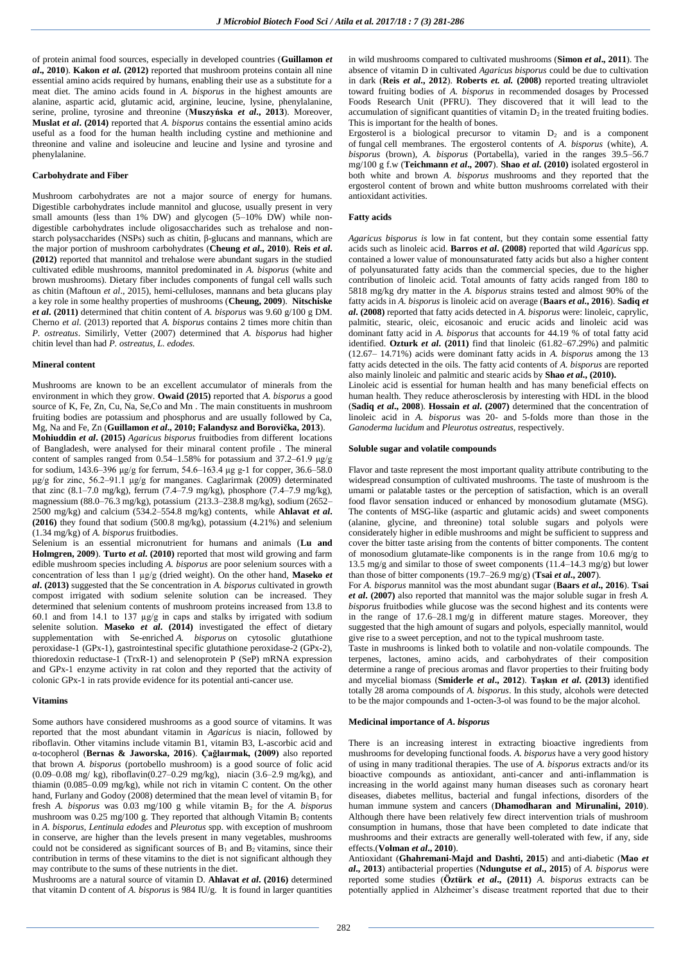of protein animal food sources, especially in developed countries (**Guillamon** *et al***., 2010**). **Kakon** *et al***. (2012)** reported that mushroom proteins contain all nine essential amino acids required by humans, enabling their use as a substitute for a meat diet. The amino acids found in *A. bisporus* in the highest amounts are alanine, aspartic acid, glutamic acid, arginine, leucine, lysine, phenylalanine, serine, proline, tyrosine and threonine (**Muszyńska** *et al***., 2013**). Moreover, **Muslat** *et al***. (2014)** reported that *A. bisporus* contains the essential amino acids useful as a food for the human health including cystine and methionine and threonine and valine and isoleucine and leucine and lysine and tyrosine and phenylalanine.

### **Carbohydrate and Fiber**

Mushroom carbohydrates are not a major source of energy for humans. Digestible carbohydrates include mannitol and glucose, usually present in very small amounts (less than 1% DW) and glycogen (5-10% DW) while nondigestible carbohydrates include oligosaccharides such as trehalose and nonstarch polysaccharides (NSPs) such as chitin, β-glucans and mannans, which are the major portion of mushroom carbohydrates (**Cheung** *et al***., 2010**). **Reis** *et al***. (2012)** reported that mannitol and trehalose were abundant sugars in the studied cultivated edible mushrooms, mannitol predominated in *A. bisporus* (white and brown mushrooms). Dietary fiber includes components of fungal cell walls such as chitin (Maftoun *et al*., 2015), hemi-celluloses, mannans and beta glucans play a key role in some healthy properties of mushrooms (**Cheung, 2009**). **Nitschiske**  *et al***. (2011)** determined that chitin content of *A. bisporus* was 9.60 g/100 g DM. Cherno *et al*. (2013) reported that *A. bisporus* contains 2 times more chitin than *P. ostreatus*. Similirly, Vetter (2007) determined that *A. bisporus* had higher chitin level than had *P. ostreatus, L. edodes*.

#### **Mineral content**

Mushrooms are known to be an excellent accumulator of minerals from the environment in which they grow. **Owaid (2015)** reported that *A. bisporus* a good source of K, Fe, Zn, Cu, Na, Se,Co and Mn. The main constituents in mushroom fruiting bodies are potassium and phosphorus and are usually followed by Ca, Mg, Na and Fe, Zn (**Guillamon** *et al***., 2010; Falandysz and Borovička, 2013**).

**Mohiuddin** *et al***. (2015)** *Agaricus bisporus* fruitbodies from different locations of Bangladesh, were analysed for their minaral content profile . The mineral content of samples ranged from 0.54–1.58% for potassium and 37.2–61.9 μg/g for sodium,  $143.6-396$  μg/g for ferrum,  $54.6-163.4$  μg g-1 for copper,  $36.6-58.0$ μg/g for zinc, 56.2–91.1 μg/g for manganes. Caglarirmak (2009) determinated that zinc (8.1–7.0 mg/kg), ferrum (7.4–7.9 mg/kg), phosphore (7.4–7.9 mg/kg), magnessium (88.0–76.3 mg/kg), potassium (213.3–238.8 mg/kg), sodium (2652– 2500 mg/kg) and calcium (534.2–554.8 mg/kg) contents, while **Ahlavat** *et al***. (2016)** they found that sodium (500.8 mg/kg), potassium (4.21%) and selenium (1.34 mg/kg) of *A. bisporus* fruitbodies.

Selenium is an essential micronutrient for humans and animals (**Lu and Holmgren, 2009**). **Turto** *et al***. (2010)** reported that most wild growing and farm edible mushroom species including *A. bisporus* are poor selenium sources with a concentration of less than 1 µg/g (dried weight). On the other hand, **Maseko** *et al***. (2013)** suggested that the Se concentration in *A. bisporus* cultivated in growth compost irrigated with sodium selenite solution can be increased. They determined that selenium contents of mushroom proteins increased from 13.8 to 60.1 and from 14.1 to 137 µg/g in caps and stalks by irrigated with sodium selenite solution. **Maseko** *et al***. (2014)** investigated the effect of dietary supplementation with Se-enriched *A. bisporus* on cytosolic glutathione peroxidase-1 (GPx-1), gastrointestinal specific glutathione peroxidase-2 (GPx-2), thioredoxin reductase-1 (TrxR-1) and selenoprotein P (SeP) mRNA expression and GPx-1 enzyme activity in rat colon and they reported that the activity of colonic GPx-1 in rats provide evidence for its potential anti-cancer use.

#### **Vitamins**

Some authors have considered mushrooms as a good source of vitamins. It was reported that the most abundant vitamin in *Agaricus* is niacin, followed by riboflavin. Other vitamins include vitamin B1, vitamin B3, L-ascorbic acid and α-tocopherol (**Bernas & Jaworska, 2016**). **Çağlaırmak, (2009)** also reported that brown *A. bisporus* (portobello mushroom) is a good source of folic acid (0.09–0.08 mg/ kg), riboflavin(0.27–0.29 mg/kg), niacin (3.6–2.9 mg/kg), and thiamin (0.085–0.09 mg/kg), while not rich in vitamin C content. On the other hand, Furlany and Godoy (2008) determined that the mean level of vitamin  $B_1$  for fresh *A. bisporus* was 0.03 mg/100 g while vitamin B<sub>2</sub> for the *A. bisporus* mushroom was 0.25 mg/100 g. They reported that although Vitamin  $B_2$  contents in *A. bisporus, Lentinula edodes* and *Pleurotus* spp. with exception of mushroom in conserve, are higher than the levels present in many vegetables, mushrooms could not be considered as significant sources of  $B_1$  and  $B_2$  vitamins, since their contribution in terms of these vitamins to the diet is not significant although they may contribute to the sums of these nutrients in the diet.

Mushrooms are a natural source of vitamin D. **Ahlavat** *et al***. (2016)** determined that vitamin D content of *A. bisporus* is 984 IU/g. It is found in larger quantities in wild mushrooms compared to cultivated mushrooms (**Simon** *et al***., 2011**). The absence of vitamin D in cultivated *Agaricus bisporus* could be due to cultivation in dark (**Reis** *et al***., 2012**). **Roberts** *et. al.* **(2008)** reported treating ultraviolet toward fruiting bodies of *A. bisporus* in recommended dosages by Processed Foods Research Unit (PFRU). They discovered that it will lead to the accumulation of significant quantities of vitamin  $D_2$  in the treated fruiting bodies. This is important for the health of bones.

Ergosterol is a biological precursor to vitamin  $D_2$  and is a component of fungal cell membranes. The ergosterol contents of *A. bisporus* (white), *A. bisporus* (brown), *A. bisporus* (Portabella), varied in the ranges 39.5–56.7 mg/100 g f.w (**Teichmann** *et al***., 2007**). **Shao** *et al***. (2010)** isolated ergosterol in both white and brown *A. bisporus* mushrooms and they reported that the ergosterol content of brown and white button mushrooms correlated with their antioxidant activities.

## **Fatty acids**

*Agaricus bisporus is* low in fat content, but they contain some essential fatty acids such as linoleic acid. **Barros** *et al***. (2008)** reported that wild *Agaricus* spp. contained a lower value of monounsaturated fatty acids but also a higher content of polyunsaturated fatty acids than the commercial species, due to the higher contribution of linoleic acid. Total amounts of fatty acids ranged from 180 to 5818 mg/kg dry matter in the *A. bisporus* strains tested and almost 90% of the fatty acids in *A. bisporus* is linoleic acid on average (**Baars** *et al***., 2016**). **Sadiq** *et al***. (2008)** reported that fatty acids detected in *A. bisporus* were: linoleic, caprylic, palmitic, stearic, oleic, eicosanoic and erucic acids and linoleic acid was dominant fatty acid in *A. bisporus* that accounts for 44.19 % of total fatty acid identified. **Ozturk** *et al***. (2011)** find that linoleic (61.82–67.29%) and palmitic (12.67– 14.71%) acids were dominant fatty acids in *A. bisporus* among the 13 fatty acids detected in the oils. The fatty acid contents of *A. bisporus* are reported also mainly linoleic and palmitic and stearic acids by **Shao** *et al***., (2010).**

Linoleic acid is essential for human health and has many beneficial effects on human health. They reduce atherosclerosis by interesting with HDL in the blood (**Sadiq** *et al***., 2008**). **Hossain** *et al***. (2007)** determined that the concentration of linoleic acid in *A. bisporus* was 20- and 5-folds more than those in the *Ganoderma lucidum* and *Pleurotus ostreatus*, respectively.

#### **Soluble sugar and volatile compounds**

Flavor and taste represent the most important quality attribute contributing to the widespread consumption of cultivated mushrooms. The taste of mushroom is the umami or palatable tastes or the perception of satisfaction, which is an overall food flavor sensation induced or enhanced by monosodium glutamate (MSG). The contents of MSG-like (aspartic and glutamic acids) and sweet components (alanine, glycine, and threonine) total soluble sugars and polyols were considerately higher in edible mushrooms and might be sufficient to suppress and cover the bitter taste arising from the contents of bitter components. The content of monosodium glutamate-like components is in the range from 10.6 mg/g to 13.5 mg/g and similar to those of sweet components (11.4–14.3 mg/g) but lower than those of bitter components (19.7–26.9 mg/g) (**Tsai** *et al.***, 2007**).

For *A. bisporus* mannitol was the most abundant sugar (**Baars** *et al***., 2016**). **Tsai**  *et al***. (2007)** also reported that mannitol was the major soluble sugar in fresh *A. bisporus* fruitbodies while glucose was the second highest and its contents were in the range of 17.6–28.1 mg/g in different mature stages. Moreover, they suggested that the high amount of sugars and polyols, especially mannitol, would give rise to a sweet perception, and not to the typical mushroom taste.

Taste in mushrooms is linked both to volatile and non-volatile compounds. The terpenes, lactones, amino acids, and carbohydrates of their composition determine a range of precious aromas and flavor properties to their fruiting body and mycelial biomass (**Smiderle** *et al***., 2012**). **Taşkın** *et al***. (2013)** identified totally 28 aroma compounds of *A. bisporus*. In this study, alcohols were detected to be the major compounds and 1-octen-3-ol was found to be the major alcohol.

#### **Medicinal importance of** *A. bisporus*

There is an increasing interest in extracting bioactive ingredients from mushrooms for developing functional foods. *A. bisporus* have a very good history of using in many traditional therapies. The use of *A. bisporus* extracts and/or its bioactive compounds as antioxidant, anti-cancer and anti-inflammation is increasing in the world against many human diseases such as coronary heart diseases, diabetes mellitus, bacterial and fungal infections, disorders of the human immune system and cancers (**Dhamodharan and Mirunalini, 2010**). Although there have been relatively few direct intervention trials of mushroom consumption in humans, those that have been completed to date indicate that mushrooms and their extracts are generally well-tolerated with few, if any, side effects.(**Volman** *et al***., 2010**).

Antioxidant (**Ghahremani-Majd and Dashti, 2015**) and anti-diabetic (**Mao** *et al***., 2013**) antibacterial properties (**Ndungutse** *et al***., 2015**) of *A. bisporus* were reported some studies (**Öztürk** *et al***., (2011)** *A. bisporus* extracts can be potentially applied in Alzheimer's disease treatment reported that due to their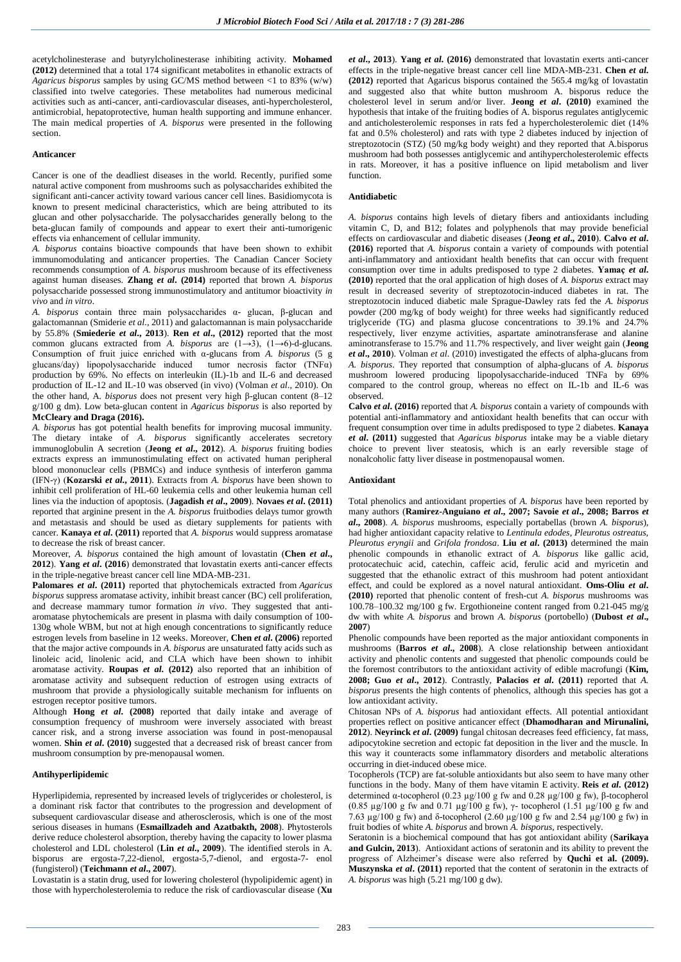acetylcholinesterase and butyrylcholinesterase inhibiting activity. **Mohamed (2012)** determined that a total 174 significant metabolites in ethanolic extracts of *Agaricus bisporus* samples by using GC/MS method between <1 to 83% (w/w) classified into twelve categories. These metabolites had numerous medicinal activities such as anti-cancer, anti-cardiovascular diseases, anti-hypercholesterol, antimicrobial, hepatoprotective, human health supporting and immune enhancer. The main medical properties of *A. bisporus* were presented in the following section.

## **Anticancer**

Cancer is one of the deadliest diseases in the world. Recently, purified some natural active component from mushrooms such as polysaccharides exhibited the significant anti-cancer activity toward various cancer cell lines. Basidiomycota is known to present medicinal characteristics, which are being attributed to its glucan and other polysaccharide. The polysaccharides generally belong to the beta-glucan family of compounds and appear to exert their anti-tumorigenic effects via enhancement of cellular immunity.

*A. bisporus* contains bioactive compounds that have been shown to exhibit immunomodulating and anticancer properties. The Canadian Cancer Society recommends consumption of *A. bisporus* mushroom because of its effectiveness against human diseases. **Zhang** *et al***. (2014)** reported that brown *A. bisporus* polysaccharide possessed strong immunostimulatory and antitumor bioactivity *in vivo* and *in vitro*.

*A. bisporus* contain three main polysaccharides α- glucan, β-glucan and galactomannan (Smiderie *et al*., 2011) and galactomannan is main polysaccharide by 55.8% (**Smiederie** *et al***., 2013**). **Ren** *et al***., (2012)** reported that the most common glucans extracted from *A. bisporus* are (1→3), (1→6)-d-glucans. Consumption of fruit juice enriched with α-glucans from *A. bisporus* (5 g glucans/day) lipopolysaccharide induced tumor necrosis factor (TNFα) production by 69%. No effects on interleukin (IL)-1b and IL-6 and decreased production of IL-12 and IL-10 was observed (in vivo) (Volman *et al*., 2010). On the other hand, A*. bisporus* does not present very high β-glucan content (8–12 g/100 g dm). Low beta-glucan content in *Agaricus bisporus* is also reported by **McCleary and Draga (2016).**

*A. bisporus* has got potential health benefits for improving mucosal immunity. The dietary intake of *A. bisporus* significantly accelerates secretory immunoglobulin A secretion (**Jeong** *et al***., 2012**). *A. bisporus* fruiting bodies extracts express an immunostimulating effect on activated human peripheral blood mononuclear cells (PBMCs) and induce synthesis of interferon gamma (IFN-γ) (**Kozarski** *et al***., 2011**). Extracts from *A. bisporus* have been shown to inhibit cell proliferation of HL-60 leukemia cells and other leukemia human cell lines via the induction of apoptosis. (**Jagadish** *et al***., 2009**). **Novaes** *et al***. (2011)** reported that arginine present in the *A. bisporus* fruitbodies delays tumor growth and metastasis and should be used as dietary supplements for patients with cancer. **Kanaya** *et al***. (2011)** reported that *A. bisporus* would suppress aromatase to decrease the risk of breast cancer.

Moreover, *A. bisporus* contained the high amount of lovastatin (**Chen** *et al***., 2012**). **Yang** *et al***. (2016**) demonstrated that lovastatin exerts anti-cancer effects in the triple-negative breast cancer cell line MDA-MB-231.

**Palomares** *et al***. (2011)** reported that phytochemicals extracted from *Agaricus bisporus* suppress aromatase activity, inhibit breast cancer (BC) cell proliferation, and decrease mammary tumor formation *in vivo*. They suggested that antiaromatase phytochemicals are present in plasma with daily consumption of 100- 130g whole WBM, but not at high enough concentrations to significantly reduce estrogen levels from baseline in 12 weeks. Moreover, **Chen** *et al***. (2006)** reported that the major active compounds in *A. bisporus* are unsaturated fatty acids such as linoleic acid, linolenic acid, and CLA which have been shown to inhibit aromatase activity. **Roupas** *et al***. (2012)** also reported that an inhibition of aromatase activity and subsequent reduction of estrogen using extracts of mushroom that provide a physiologically suitable mechanism for influents on estrogen receptor positive tumors.

Although **Hong** *et al***. (2008)** reported that daily intake and average of consumption frequency of mushroom were inversely associated with breast cancer risk, and a strong inverse association was found in post-menopausal women. **Shin** *et al***. (2010)** suggested that a decreased risk of breast cancer from mushroom consumption by pre-menopausal women.

## **Antihyperlipidemic**

Hyperlipidemia, represented by increased levels of triglycerides or cholesterol, is a dominant risk factor that contributes to the progression and development of subsequent cardiovascular disease and atherosclerosis, which is one of the most serious diseases in humans (**Esmaillzadeh and Azatbakth, 2008**). Phytosterols derive reduce cholesterol absorption, thereby having the capacity to lower plasma cholesterol and LDL cholesterol (**Lin** *et al***., 2009**). The identified sterols in A. bisporus are ergosta-7,22-dienol, ergosta-5,7-dienol, and ergosta-7- enol (fungisterol) (**Teichmann** *et al***., 2007**).

Lovastatin is a [statin](https://en.wikipedia.org/wiki/Statin) drug, used for lowering [cholesterol](https://en.wikipedia.org/wiki/Cholesterol) [\(hypolipidemic agent\)](https://en.wikipedia.org/wiki/Hypolipidemic_agent) in those with [hypercholesterolemia](https://en.wikipedia.org/wiki/Hypercholesterolemia) to reduce the risk of [cardiovascular disease](https://en.wikipedia.org/wiki/Cardiovascular_disease) (**Xu**  *et al***., 2013**). **Yang** *et al***. (2016)** demonstrated that lovastatin exerts anti-cancer effects in the triple-negative breast cancer cell line MDA-MB-231. **Chen** *et al***. (2012)** reported that Agaricus bisporus contained the 565.4 mg/kg of lovastatin and suggested also that white button mushroom A. bisporus reduce the cholesterol level in serum and/or liver. **Jeong** *et al***. (2010)** examined the hypothesis that intake of the fruiting bodies of A. bisporus regulates antiglycemic and anticholesterolemic responses in rats fed a hypercholesterolemic diet (14% fat and 0.5% cholesterol) and rats with type 2 diabetes induced by injection of streptozotocin (STZ) (50 mg/kg body weight) and they reported that A.bisporus mushroom had both possesses antiglycemic and antihypercholesterolemic effects in rats. Moreover, it has a positive influence on lipid metabolism and liver function.

## **Antidiabetic**

*A. bisporus* contains high levels of dietary fibers and antioxidants including vitamin C, D, and B12; folates and polyphenols that may provide beneficial effects on cardiovascular and diabetic diseases (**Jeong** *et al***., 2010**). **Calvo** *et al***. (2016)** reported that *A. bisporus* contain a variety of compounds with potential anti-inflammatory and antioxidant health benefits that can occur with frequent consumption over time in adults predisposed to type 2 diabetes. **Yamaç** *et al***. (2010)** reported that the oral application of high doses of *A. bisporus* extract may result in decreased severity of streptozotocin-induced diabetes in rat. The streptozotocin induced diabetic male Sprague-Dawley rats fed the *A. bisporus* powder (200 mg/kg of body weight) for three weeks had significantly reduced triglyceride (TG) and plasma glucose concentrations to 39.1% and 24.7% respectively, liver enzyme activities, aspartate aminotransferase and alanine aminotransferase to 15.7% and 11.7% respectively, and liver weight gain (**Jeong**  *et al***., 2010**). Volman *et al*. (2010) investigated the effects of alpha-glucans from *A. bisporus*. They reported that consumption of alpha-glucans of *A. bisporus* mushroom lowered producing lipopolysaccharide-induced TNFa by 69% compared to the control group, whereas no effect on IL-1b and IL-6 was observed.

**Calvo** *et al***. (2016)** reported that *A. bisporus* contain a variety of compounds with potential anti-inflammatory and antioxidant health benefits that can occur with frequent consumption over time in adults predisposed to type 2 diabetes. **Kanaya**  *et al***. (2011)** suggested that *Agaricus bisporus* intake may be a viable dietary choice to prevent liver steatosis, which is an early reversible stage of nonalcoholic fatty liver disease in postmenopausal women.

## **Antioxidant**

Total phenolics and antioxidant properties of *A. bisporus* have been reported by many authors (**Ramirez-Anguiano** *et al***., 2007; Savoie** *et al***., 2008; Barros** *et al***., 2008**). *A. bisporus* mushrooms, especially portabellas (brown *A. bisporus*), had higher antioxidant capacity relative to *Lentinula edodes, Pleurotus ostreatus, Pleurotus eryngii* and *Grifola frondosa*. **Liu** *et al***. (2013)** determined the main phenolic compounds in ethanolic extract of *A. bisporus* like gallic acid, protocatechuic acid, catechin, caffeic acid, ferulic acid and myricetin and suggested that the ethanolic extract of this mushroom had potent antioxidant effect, and could be explored as a novel natural antioxidant. **Oms-Oliu** *et al***. (2010)** reported that phenolic content of fresh-cut *A. bisporus* mushrooms was 100.78–100.32 mg/100 g fw. Ergothioneine content ranged from 0.21-045 mg/g dw with white *A. bisporus* and brown *A. bisporus* (portobello) (**Dubost** *et al***., 2007**)

Phenolic compounds have been reported as the major antioxidant components in mushrooms (**Barros** *et al***., 2008**). A close relationship between antioxidant activity and phenolic contents and suggested that phenolic compounds could be the foremost contributors to the antioxidant activity of edible macrofungi (**Kim, 2008; Guo** *et al***., 2012**). Contrastly, **Palacios** *et al***. (2011)** reported that *A. bisporus* presents the high contents of phenolics, although this species has got a low antioxidant activity.

Chitosan NPs of *A. bisporus* had antioxidant effects. All potential antioxidant properties reflect on positive anticancer effect (**Dhamodharan and Mirunalini, 2012**). **Neyrinck** *et al***. (2009)** fungal chitosan decreases feed efficiency, fat mass, adipocytokine secretion and ectopic fat deposition in the liver and the muscle. In this way it counteracts some inflammatory disorders and metabolic alterations occurring in diet-induced obese mice.

Tocopherols (TCP) are fat-soluble [antioxidants](https://en.wikipedia.org/wiki/Antioxidant) but also seem to have many other functions in the body. Many of them have [vitamin E](https://en.wikipedia.org/wiki/Vitamin_E) activity. **Reis** *et al***. (2012)** determined α-tocopherol (0.23 μg/100 g fw and 0.28 μg/100 g fw), β-tocopherol (0.85 µg/100 g fw and 0.71 µg/100 g fw), γ- tocopherol (1.51 µg/100 g fw and 7.63 µg/100 g fw) and δ-tocopherol (2.60 µg/100 g fw and 2.54 µg/100 g fw) in fruit bodies of white *A. bisporus* and brown *A. bisporus*, respectively.

Seratonin is a biochemical compound that has got antioxidant ability (**Sarikaya and Gulcin, 2013**). Antioxidant actions of seratonin and its ability to prevent the progress of Alzheimer's disease were also referred by **Quchi et al. (2009). Muszynska** *et al***. (2011)** reported that the content of seratonin in the extracts of *A. bisporus* was high (5.21 mg/100 g dw).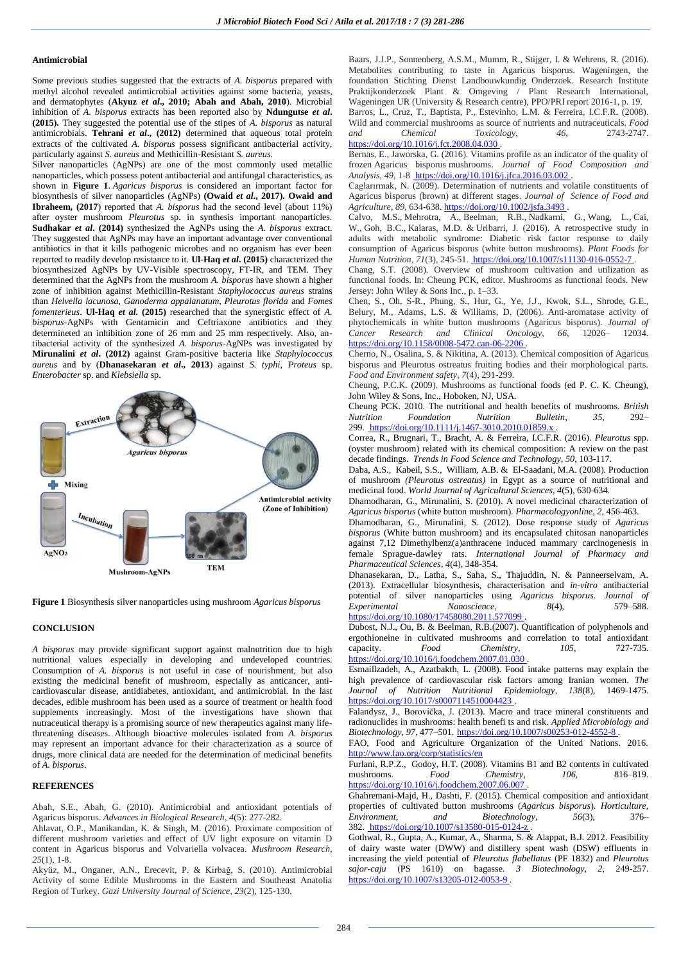#### **Antimicrobial**

Some previous studies suggested that the extracts of *A. bisporus* prepared with methyl alcohol revealed antimicrobial activities against some bacteria, yeasts, and dermatophytes (**Akyuz** *et al***., 2010; Abah and Abah, 2010**). Microbial inhibition of *A. bisporus* extracts has been reported also by **Ndungutse** *et al***. (2015).** They suggested the potential use of the stipes of *A. bisporus* as natural antimicrobials. **Tehrani** *et al***., (2012)** determined that aqueous total protein extracts of the cultivated *A. bisporus* possess significant antibacterial activity, particularly against *S. aureus* and Methicillin-Resistant *S. aureus.*

Silver nanoparticles (AgNPs) are one of the most commonly used metallic nanoparticles, which possess potent antibacterial and antifungal characteristics, as shown in **Figure 1**. *Agaricus bisporus* is considered an important factor for biosynthesis of silver nanoparticles (AgNPs) **(Owaid** *et al***., 2017). Owaid and Ibraheem, (2017**) reported that *A. bisporus* had the second level (about 11%) after oyster mushroom *Pleurotus* sp. in synthesis important nanoparticles. **Sudhakar** *et al***. (2014)** synthesized the AgNPs using the *A. bisporus* extract. They suggested that AgNPs may have an important advantage over conventional antibiotics in that it kills pathogenic microbes and no organism has ever been reported to readily develop resistance to it. **Ul-Haq** *et al***. (2015)** characterized the biosynthesized AgNPs by UV-Visible spectroscopy, FT-IR, and TEM. They determined that the AgNPs from the mushroom *A. bisporus* have shown a higher zone of inhibition against Methicillin-Resistant *Staphylococcus aureus* strains than *Helvella lacunosa, Ganoderma appalanatum, Pleurotus florida* and *Fomes fomenterieus*. **Ul-Haq** *et al***. (2015)** researched that the synergistic effect of *A. bisporus*-AgNPs with Gentamicin and Ceftriaxone antibiotics and they determineted an inhibition zone of 26 mm and 25 mm respectively. Also, antibacterial activity of the synthesized *A. bisporus*-AgNPs was investigated by **Mirunalini** *et al***. (2012)** against Gram-positive bacteria like *Staphylococcus aureus* and by (**Dhanasekaran** *et al***., 2013**) against *S. typhi*, *Proteus* sp. *Enterobacter* sp. and *Klebsiella* sp.



**Figure 1** Biosynthesis silver nanoparticles using mushroom *Agaricus bisporus*

### **CONCLUSION**

*A bisporus* may provide significant support against malnutrition due to high nutritional values especially in developing and undeveloped countries. Consumption of *A. bisporus* is not useful in case of nourishment, but also existing the medicinal benefit of mushroom, especially as anticancer, anticardiovascular disease, antidiabetes, antioxidant, and antimicrobial. In the last decades, edible mushroom has been used as a source of treatment or health food supplements increasingly. Most of the investigations have shown that nutraceutical therapy is a promising source of new therapeutics against many lifethreatening diseases. Although bioactive molecules isolated from *A. bisporus* may represent an important advance for their characterization as a source of drugs, more clinical data are needed for the determination of medicinal benefits of *A. bisporus*.

## **REFERENCES**

Abah, S.E., Abah, G. (2010). Antimicrobial and antioxidant potentials of Agaricus bisporus. *Advances in Biological Research*, *4*(5): 277-282.

Ahlavat, O.P., Manikandan, K. & Singh, M. (2016). Proximate composition of different mushroom varieties and effect of UV light exposure on vitamin D content in Agaricus bisporus and Volvariella volvacea. *Mushroom Research*, *25*(1), 1-8.

Akyüz, M., Onganer, A.N., Erecevit, P. & Kirbağ, S. (2010). Antimicrobial Activity of some Edible Mushrooms in the Eastern and Southeast Anatolia Region of Turkey. *Gazi University Journal of Science*, *23*(2), 125-130.

Baars, J.J.P., Sonnenberg, A.S.M., Mumm, R., Stijger, I. & Wehrens, R. (2016). Metabolites contributing to taste in Agaricus bisporus. Wageningen, the foundation Stichting Dienst Landbouwkundig Onderzoek. Research Institute Praktijkonderzoek Plant & Omgeving / Plant Research International, Wageningen UR (University & Research centre), PPO/PRI report 2016-1, p. 19. Barros, L., Cruz, T., Baptista, P., Estevinho, L.M. & Ferreira, I.C.F.R. (2008). Wild and commercial mushrooms as source of nutrients and nutraceuticals. *Food and Chemical Toxicology*, *46*, 2743-2747.

<https://doi.org/10.1016/j.fct.2008.04.030>.

Bernas, E., Jaworska, G. (2016). Vitamins profile as an indicator of the quality of frozen Agaricus bisporus mushrooms. *Journal of Food Composition and Analysis*, *49*, 1-8 <https://doi.org/10.1016/j.jfca.2016.03.002> .

Caglarırmak, N. (2009). Determination of nutrients and volatile constituents of Agaricus bisporus (brown) at different stages. *Journal of Science of Food and Agriculture*, *89*, 634-638[. https://doi.org/10.1002/jsfa.3493](https://doi.org/10.1002/jsfa.3493) .

Calvo, M.S., Mehrotra, A., Beelman, R.B., Nadkarni, G., Wang, L., Cai, W., Goh, B.C., Kalaras, M.D. & Uribarri, J. (2016). A retrospective study in adults with metabolic syndrome: Diabetic risk factor response to daily consumption of Agaricus bisporus (white button mushrooms). *Plant Foods for Human Nutrition*, *71*(3), 245-51[. https://doi.org/10.1007/s11130-016-0552-7](https://doi.org/10.1007/s11130-016-0552-7) .

Chang, S.T. (2008). Overview of mushroom cultivation and utilization as functional foods. In: Cheung PCK, editor. Mushrooms as functional foods. New Jersey: John Wiley & Sons Inc., p. 1–33.

Chen, S., Oh, S-R., Phung, S., Hur, G., Ye, J.J., Kwok, S.L., Shrode, G.E., Belury, M., Adams, L.S. & Williams, D. (2006). Anti-aromatase activity of phytochemicals in white button mushrooms (Agaricus bisporus). *Journal of Cancer Research and Clinical Oncology*, *66*, 12026– 12034. <https://doi.org/10.1158/0008-5472.can-06-2206> .

Cherno, N., Osalina, S. & Nikitina, A. (2013). Chemical composition of Agaricus bisporus and Pleurotus ostreatus fruiting bodies and their morphological parts. *Food and Environment safety*, *7*(4), 291-299.

Cheung, P.C.K. (2009). Mushrooms as functional foods (ed P. C. K. Cheung), John Wiley & Sons, Inc., Hoboken, NJ, USA.

Cheung PCK. 2010. The nutritional and health benefits of mushrooms. *British*   $F$ oundation 299. <https://doi.org/10.1111/j.1467-3010.2010.01859.x> .

Correa, R., Brugnari, T., Bracht, A. & Ferreira, I.C.F.R. (2016). *Pleurotus* spp. (oyster mushroom) related with its chemical composition: A review on the past decade findings. *Trends in Food Science and Technology*, *50*, 103-117.

Daba, A.S., Kabeil, S.S., William, A.B. & El-Saadani, M.A. (2008). Production of mushroom *(Pleurotus ostreatus)* in Egypt as a source of nutritional and medicinal food. *World Journal of Agricultural Sciences*, *4*(5), 630-634.

Dhamodharan, G., Mirunalini, S. (2010). A novel medicinal characterization of *Agaricus bisporus* (white button mushroom). *Pharmacologyonline*, *2*, 456-463.

Dhamodharan, G., Mirunalini, S. (2012). Dose response study of *Agaricus bisporus* (White button mushroom) and its encapsulated chitosan nanoparticles against 7,12 Dimethylbenz(a)anthracene induced mammary carcinogenesis in female Sprague-dawley rats. *International Journal of Pharmacy and Pharmaceutical Sciences*, *4*(4), 348-354.

Dhanasekaran, D., Latha, S., Saha, S., Thajuddin, N. & Panneerselvam, A. (2013). Extracellular biosynthesis, characterisation and *in-vitro* antibacterial potential of silver nanoparticles using *Agaricus bisporus*. *Journal of*   $N$ *anoscience*, <https://doi.org/10.1080/17458080.2011.577099>

Dubost, N.J., Ou, B. & Beelman, R.B.(2007). Quantification of polyphenols and ergothioneine in cultivated mushrooms and correlation to total antioxidant capacity.  $Food$   $Food$   $Chemistry$ .  $105$ ,  $727-735$ . capacity. **Food** Chemistry, 105, <https://doi.org/10.1016/j.foodchem.2007.01.030> .

Esmaillzadeh, A., Azatbakth, L. (2008). Food intake patterns may explain the high prevalence of cardiovascular risk factors among Iranian women. *The Journal of Nutrition Nutritional Epidemiology*, *138*(8), 1469-1475. <https://doi.org/10.1017/s0007114510004423>

Falandysz, J., Borovička, J. (2013). Macro and trace mineral constituents and radionuclides in mushrooms: health benefi ts and risk. *Applied Microbiology and Biotechnology*, *97*, 477–501. <https://doi.org/10.1007/s00253-012-4552-8> .

FAO, Food and Agriculture Organization of the United Nations. 2016. <http://www.fao.org/corp/statistics/en>

Furlani, R.P.Z., Godoy, H.T. (2008). Vitamins B1 and B2 contents in cultivated mushrooms. *Food Chemistry*, *106*, 816–819. <https://doi.org/10.1016/j.foodchem.2007.06.007>

Ghahremani-Majd, H., Dashti, F. (2015). Chemical composition and antioxidant properties of cultivated button mushrooms (*Agaricus bisporus*). *Horticulture, Environment, and Biotechnology*, *56*(3), 376– 382. <https://doi.org/10.1007/s13580-015-0124-z> .

Gothwal, R., Gupta, A., Kumar, A., Sharma, S. & Alappat, B.J. 2012. Feasibility of dairy waste water (DWW) and distillery spent wash (DSW) effluents in increasing the yield potential of *Pleurotus flabellatus* (PF 1832) and *Pleurotus sajor-caju* (PS 1610) on bagasse. *3 Biotechnology*, *2*, 249-257. <https://doi.org/10.1007/s13205-012-0053-9>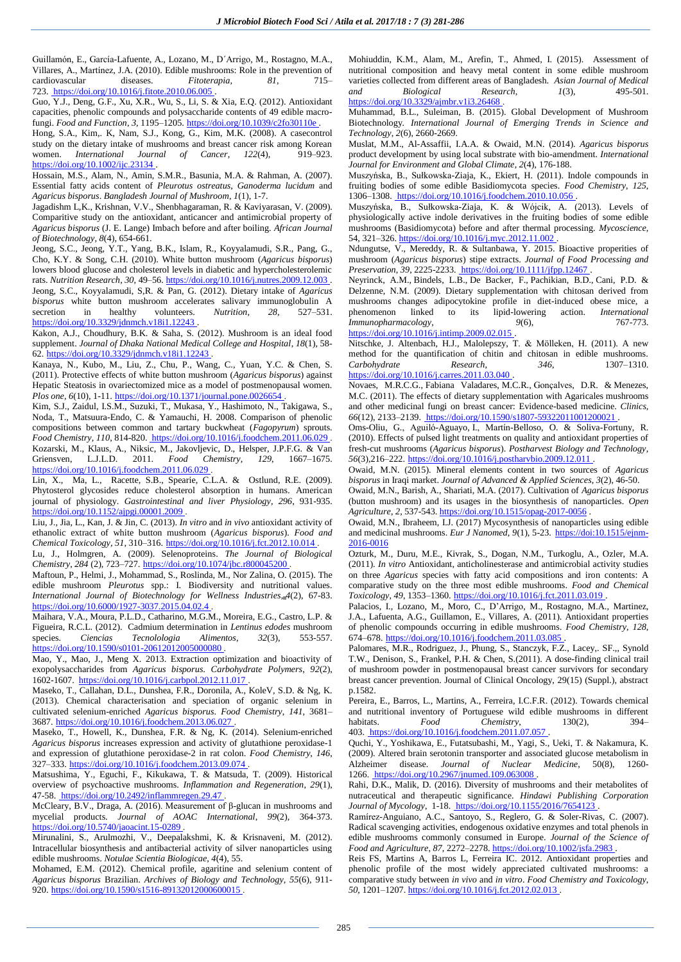Guillamón, E., García-Lafuente, A., Lozano, M., D´Arrigo, M., Rostagno, M.A., Villares, A., Martínez, J.A. (2010). Edible mushrooms: Role in the prevention of cardiovascular diseases. *Fitoterapia, 81*, 715– 723. <https://doi.org/10.1016/j.fitote.2010.06.005> .

Guo, Y.J., Deng, G.F., Xu, X.R., Wu, S., Li, S. & Xia, E.Q. (2012). Antioxidant capacities, phenolic compounds and polysaccharide contents of 49 edible macrofungi. *Food and Function*, *3*, 1195–1205. <https://doi.org/10.1039/c2fo30110e> .

Hong, S.A., Kim,. K, Nam, S.J., Kong, G., Kim, M.K. (2008). A casecontrol study on the dietary intake of mushrooms and breast cancer risk among Korean women. *International Journal of Cancer*, *122*(4), 919–923. <https://doi.org/10.1002/ijc.23134>

Hossain, M.S., Alam, N., Amin, S.M.R., Basunia, M.A. & Rahman, A. (2007). Essential fatty acids content of *Pleurotus ostreatus*, *Ganoderma lucidum* and *Agaricus bisporus*. *Bangladesh Journal of Mushroom*, *1*(1), 1-7.

Jagadishm L,K., Krishnan, V.V., Shenbhagaraman, R. & Kaviyarasan, V. (2009). Comparitive study on the antioxidant, anticancer and antimicrobial property of *Agaricus bisporus* (J. E. Lange) Imbach before and after boiling. *African Journal of Biotechnology, 8*(4), 654-661.

Jeong, S.C., Jeong, Y.T., Yang, B.K., Islam, R., Koyyalamudi, S.R., Pang, G., Cho, K.Y. & Song, C.H. (2010). White button mushroom (*Agaricus bisporus*) lowers blood glucose and cholesterol levels in diabetic and hypercholesterolemic rats. *Nutrition Research*, *30*, 49–56[. https://doi.org/10.1016/j.nutres.2009.12.003](https://doi.org/10.1016/j.nutres.2009.12.003) . Jeong, S.C., Koyyalamudi, S,R. & Pan, G. (2012). Dietary intake of *Agaricus bisporus* white button mushroom accelerates salivary immunoglobulin A secretion in healthy volunteers. *Nutrition*, 28, 527–531. secretion in healthy volunteers. *Nutrition*, *28*, 527–531. <https://doi.org/10.3329/jdnmch.v18i1.12243> .

Kakon, A.J., Choudhury, B.K. & Saha, S. (2012). Mushroom is an ideal food supplement. *Journal of Dhaka National Medical College and Hospital*, *18*(1), 58- 62. <https://doi.org/10.3329/jdnmch.v18i1.12243> .

Kanaya, N., Kubo, M., Liu, Z., Chu, P., Wang, C., Yuan, Y.C. & Chen, S. (2011). Protective effects of white button mushroom (*Agaricus bisporus*) against Hepatic Steatosis in ovariectomized mice as a model of postmenopausal women. *Plos one,* 6(10), 1-11. <https://doi.org/10.1371/journal.pone.0026654>

Kim, S.J., Zaidul, I.S.M., Suzuki, T., Mukasa, Y., Hashimoto, N., Takigawa, S., Noda, T., Matsuura-Endo, C. & Yamauchi, H. 2008. Comparison of phenolic compositions between common and tartary buckwheat (*Fagopyrum*) sprouts. *Food Chemistry*, *110*, 814-820.<https://doi.org/10.1016/j.foodchem.2011.06.029> . Kozarski, M., Klaus, A., Niksic, M., Jakovljevic, D., Helsper, J.P.F.G. & Van Griensven, L.J.L.D. 2011. *Food Chemistry*, *129*, 1667–1675. <https://doi.org/10.1016/j.foodchem.2011.06.029> .

Lin, X., Ma, L., Racette, S.B., Spearie, C.L.A. & Ostlund, R.E. (2009). Phytosterol glycosides reduce cholesterol absorption in humans. American journal of physiology. *Gastrointestinal and liver Physiology, 296*, 931-935. <https://doi.org/10.1152/ajpgi.00001.2009>

Liu, J., Jia, L., Kan, J. & Jin, C. (2013). *In vitro* and *in vivo* antioxidant activity of ethanolic extract of white button mushroom (*Agaricus bisporus*). *Food and Chemical Toxicology*, *51*, 310–316. <https://doi.org/10.1016/j.fct.2012.10.014> .

Lu, J., Holmgren, A. (2009). Selenoproteins. *The Journal of Biological Chemistry*, *284* (2), 723–727. <https://doi.org/10.1074/jbc.r800045200> .

Maftoun, P., Helmi, J., Mohammad, S., Roslinda, M., Nor Zalina, O. (2015). The edible mushroom *Pleurotus* spp.: I. Biodiversity and nutritional values. *International Journal of Biotechnology for Wellness Industries*, *4*(2), 67-83. <https://doi.org/10.6000/1927-3037.2015.04.02.4>

Maihara, V.A., Moura, P.L.D., Catharino, M.G.M., Moreira, E.G., Castro, L.P. & Figueira, R.C.L. (2012). Cadmium determination in *Lentinus edodes* mushroom species. *Ciencias Tecnolologia Alimentos*, *32*(3), 553-557. <https://doi.org/10.1590/s0101-20612012005000080>

Mao, Y., Mao, J., Meng X. 2013. Extraction optimization and bioactivity of exopolysaccharides from *Agaricus bisporus*. *Carbohydrate Polymers*, *92*(2), 1602-1607.<https://doi.org/10.1016/j.carbpol.2012.11.017> .

Maseko, T., Callahan, D.L., Dunshea, F.R., Doronila, A., KoleV, S.D. & Ng, K. (2013). Chemical characterisation and speciation of organic selenium in cultivated selenium-enriched *Agaricus bisporus*. *Food Chemistry*, *141*, 3681– 3687. <https://doi.org/10.1016/j.foodchem.2013.06.027> .

Maseko, T., Howell, K., Dunshea, F.R. & Ng, K. (2014). Selenium-enriched *Agaricus bisporus* increases expression and activity of glutathione peroxidase-1 and expression of glutathione peroxidase-2 in rat colon. *Food Chemistry*, *146*, 327–333. <https://doi.org/10.1016/j.foodchem.2013.09.074> .

Matsushima, Y., Eguchi, F., Kikukawa, T. & Matsuda, T. (2009). Historical overview of psychoactive mushrooms. *Inflammation and Regeneration*, *29*(1), 47-58. <https://doi.org/10.2492/inflammregen.29.47> .

McCleary, B.V., Draga, A. (2016). Measurement of β-glucan in mushrooms and mycelial products. *Journal of AOAC International*, *99*(2), 364-373. <https://doi.org/10.5740/jaoacint.15-0289> .

Mirunalini, S., Arulmozhi, V., Deepalakshmi, K. & Krisnaveni, M. (2012). Intracellular biosynthesis and antibacterial activity of silver nanoparticles using edible mushrooms. *[Notulae Scientia Biologicae](http://search.proquest.com/pubidlinkhandler/sng/pubtitle/Notulae+Scientia+Biologicae/$N/1246352/PagePdf/1152191302/fulltextPDF/C7527B32019F4EAAPQ/1?accountid=139676)*, *4*(4), 55.

Mohamed, E.M. (2012). Chemical profile, agaritine and selenium content of *Agaricus bisporus* Brazilian. *Archives of Biology and Technology*, *55*(6), 911 920. <https://doi.org/10.1590/s1516-89132012000600015>

Mohiuddin, K.M., Alam, M., Arefin, T., Ahmed, I. (2015). Assessment of nutritional composition and heavy metal content in some edible mushroom varieties collected from different areas of Bangladesh. *Asian Journal of Medical and Biological Research, 1*(3), 495-501. <https://doi.org/10.3329/ajmbr.v1i3.26468> .

Muhammad, B.L., Suleiman, B. (2015). Global Development of Mushroom Biotechnology*. International Journal of Emerging Trends in Science and Technology*, *2*(6), 2660-2669.

Muslat, M.M., Al-Assaffii, I.A.A. & Owaid, M.N. (2014). *Agaricus bisporus* product development by using local substrate with bio-amendment. *International Journal for Environment and Global Climate*, *2*(4), 176-188.

Muszyńska, B., Sułkowska-Ziaja, K., Ekiert, H. (2011). Indole compounds in fruiting bodies of some edible Basidiomycota species. *Food Chemistry*, *125*, 1306–1308. <https://doi.org/10.1016/j.foodchem.2010.10.056> .

Muszyńska, B., Sułkowska-Ziaja, K. & Wójcik, A. (2013). Levels of physiologically active indole derivatives in the fruiting bodies of some edible mushrooms (Basidiomycota) before and after thermal processing. *Mycoscience*, 54, 321-326[. https://doi.org/10.1016/j.myc.2012.11.002](https://doi.org/10.1016/j.myc.2012.11.002)

Ndungutse, V., Mereddy, R. & Sultanbawa, Y. 2015. Bioactive properities of mushroom (*Agaricus bisporus*) stipe extracts. *Journal of Food Processing and Preservation*, *39*, 2225-2233. <https://doi.org/10.1111/jfpp.12467> .

Neyrinck, A.M., Bindels, L.B., De Backer, F., Pachikian, B.D., Cani, P.D. & Delzenne, N.M. (2009). Dietary supplementation with chitosan derived from mushrooms changes adipocytokine profile in diet-induced obese mice, a phenomenon linked to its lipid-lowering action. *International Immunopharmacology*,  $9(6)$ , 767-773.

<https://doi.org/10.1016/j.intimp.2009.02.015>

Nitschke, J. Altenbach, H.J., Malolepszy, T. & Mölleken, H. (2011). A new method for the quantification of chitin and chitosan in edible mushrooms. *Carbohydrate Research*, *346*, 1307–1310. <https://doi.org/10.1016/j.carres.2011.03.040> .

Novaes, M.R.C.G., Fabiana Valadares, M.C.R., Gonçalves, D.R. & Menezes, M.C. (2011). The effects of dietary supplementation with Agaricales mushrooms and other medicinal fungi on breast cancer: Evidence-based medicine. *Clinics, 66*(12), 2133–2139. <https://doi.org/10.1590/s1807-59322011001200021> .

Oms-Oliu, G., Aguiló-Aguayo, I., Martín-Belloso, O. & Soliva-Fortuny, R. (2010). Effects of pulsed light treatments on quality and antioxidant properties of fresh-cut mushrooms (*Agaricus bisporus*). *Postharvest Biology and Technology*, *56*(3),216–222. <https://doi.org/10.1016/j.postharvbio.2009.12.011> .

Owaid, M.N. (2015). Mineral elements content in two sources of *Agaricus bisporus* in Iraqi market. *Journal of Advanced & Applied Sciences*, *3*(2), 46-50.

Owaid, M.N., Barish, A., Shariati, M.A. (2017). Cultivation of *Agaricus bisporus* (button mushroom) and its usages in the biosynthesis of nanoparticles. *Open Agriculture*, *2*, 537-543[. https://doi.org/10.1515/opag-2017-0056](https://doi.org/10.1515/opag-2017-0056) .

Owaid, M.N., Ibraheem, I.J. (2017) Mycosynthesis of nanoparticles using edible and medicinal mushrooms. *Eur J Nanomed*, *9*(1), 5-23. https://doi:10.1515/ejnm-2016-0016

Ozturk, M., Duru, M.E., Kivrak, S., Dogan, N.M., Turkoglu, A., Ozler, M.A. (2011). *In vitro* Antioxidant, anticholinesterase and antimicrobial activity studies on three *Agaricus* species with fatty acid compositions and iron contents: A comparative study on the three most edible mushrooms. *Food and Chemical Toxicology*, *49*, 1353–1360. <https://doi.org/10.1016/j.fct.2011.03.019> .

Palacios, I., Lozano, M., Moro, C., D'Arrigo, M., Rostagno, M.A., Martinez, J.A., Lafuenta, A.G., Guillamon, E., Villares, A. (2011). Antioxidant properties of phenolic compounds occurring in edible mushrooms*. Food Chemistry*, *128*, 674–678. <https://doi.org/10.1016/j.foodchem.2011.03.085> .

Palomares, M.R., Rodriguez, J., Phung, S., Stanczyk, F.Z., Lacey,. SF.,, Synold T.W., Denison, S., Frankel, P.H. & Chen, S.(2011). A dose-finding clinical trail of mushroom powder in postmenopausal breast cancer survivors for secondary breast cancer prevention. Journal of Clinical Oncology, 29(15) (Suppl.), abstract p.1582.

Pereira, E., Barros, L., Martins, A., Ferreira, I.C.F.R. (2012). Towards chemical and nutritional inventory of Portuguese wild edible mushrooms in different habitats. Food Chemistry, 130(2), 394–  $Chemistry,$ 403. <https://doi.org/10.1016/j.foodchem.2011.07.057> .

Quchi, Y., Yoshikawa, E., Futatsubashi, M., Yagi, S., Ueki, T. & Nakamura, K. (2009). Altered brain serotonin transporter and associated glucose metabolism in Alzheimer disease. *Journal of Nuclear Medicine*, 50(8), 1260-

1266. <https://doi.org/10.2967/jnumed.109.063008> . Rahi, D.K., Malik, D. (2016). Diversity of mushrooms and their metabolites of nutraceutical and therapeutic significance. *Hindawi Publishing Corporation* 

*Journal of Mycology*, 1-18. <https://doi.org/10.1155/2016/7654123> . Ramírez-Anguiano, A.C., Santoyo, S., Reglero, G. & Soler-Rivas, C. (2007). Radical scavenging activities, endogenous oxidative enzymes and total phenols in edible mushrooms commonly consumed in Europe. *Journal of the Science of Food and Agriculture*, *87*, 2272–2278[. https://doi.org/10.1002/jsfa.2983](https://doi.org/10.1002/jsfa.2983) .

Reis FS, Martins A, Barros L, Ferreira IC. 2012. Antioxidant properties and phenolic profile of the most widely appreciated cultivated mushrooms: a comparative study between *in vivo* and *in vitro*. *Food Chemistry and Toxicology*, *50*, 1201–1207[. https://doi.org/10.1016/j.fct.2012.02.013](https://doi.org/10.1016/j.fct.2012.02.013) .